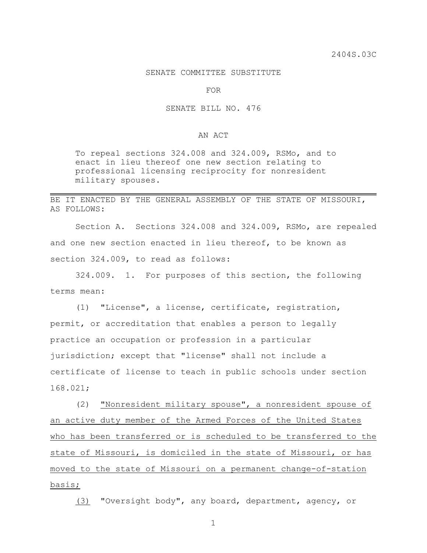## SENATE COMMITTEE SUBSTITUTE

FOR

## SENATE BILL NO. 476

## AN ACT

To repeal sections 324.008 and 324.009, RSMo, and to enact in lieu thereof one new section relating to professional licensing reciprocity for nonresident military spouses.

## BE IT ENACTED BY THE GENERAL ASSEMBLY OF THE STATE OF MISSOURI, AS FOLLOWS:

Section A. Sections 324.008 and 324.009, RSMo, are repealed and one new section enacted in lieu thereof, to be known as section 324.009, to read as follows:

324.009. 1. For purposes of this section, the following terms mean:

(1) "License", a license, certificate, registration, permit, or accreditation that enables a person to legally practice an occupation or profession in a particular jurisdiction; except that "license" shall not include a certificate of license to teach in public schools under section 168.021;

(2) "Nonresident military spouse", a nonresident spouse of an active duty member of the Armed Forces of the United States who has been transferred or is scheduled to be transferred to the state of Missouri, is domiciled in the state of Missouri, or has moved to the state of Missouri on a permanent change-of-station basis;

(3) "Oversight body", any board, department, agency, or

1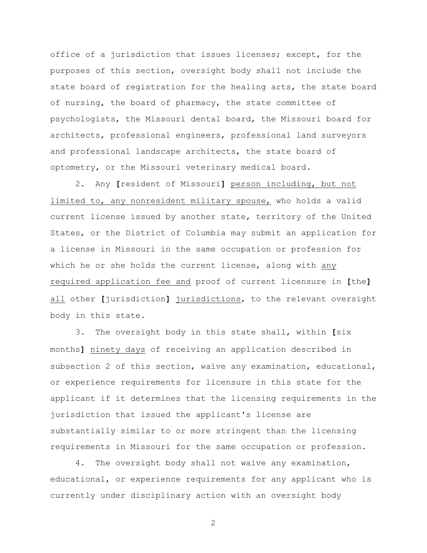office of a jurisdiction that issues licenses; except, for the purposes of this section, oversight body shall not include the state board of registration for the healing arts, the state board of nursing, the board of pharmacy, the state committee of psychologists, the Missouri dental board, the Missouri board for architects, professional engineers, professional land surveyors and professional landscape architects, the state board of optometry, or the Missouri veterinary medical board.

2. Any **[**resident of Missouri**]** person including, but not limited to, any nonresident military spouse, who holds a valid current license issued by another state, territory of the United States, or the District of Columbia may submit an application for a license in Missouri in the same occupation or profession for which he or she holds the current license, along with any required application fee and proof of current licensure in **[**the**]** all other **[**jurisdiction**]** jurisdictions, to the relevant oversight body in this state.

3. The oversight body in this state shall, within **[**six months**]** ninety days of receiving an application described in subsection 2 of this section, waive any examination, educational, or experience requirements for licensure in this state for the applicant if it determines that the licensing requirements in the jurisdiction that issued the applicant's license are substantially similar to or more stringent than the licensing requirements in Missouri for the same occupation or profession.

4. The oversight body shall not waive any examination, educational, or experience requirements for any applicant who is currently under disciplinary action with an oversight body

2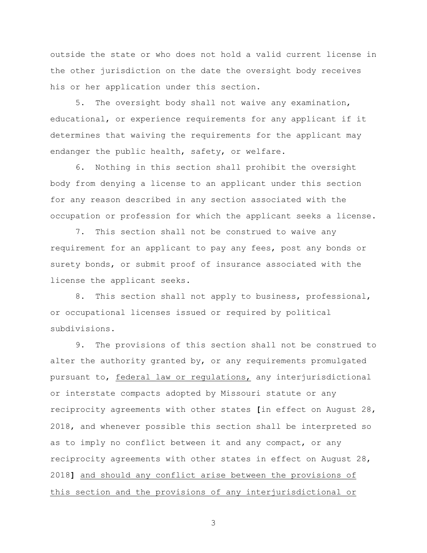outside the state or who does not hold a valid current license in the other jurisdiction on the date the oversight body receives his or her application under this section.

5. The oversight body shall not waive any examination, educational, or experience requirements for any applicant if it determines that waiving the requirements for the applicant may endanger the public health, safety, or welfare.

6. Nothing in this section shall prohibit the oversight body from denying a license to an applicant under this section for any reason described in any section associated with the occupation or profession for which the applicant seeks a license.

7. This section shall not be construed to waive any requirement for an applicant to pay any fees, post any bonds or surety bonds, or submit proof of insurance associated with the license the applicant seeks.

8. This section shall not apply to business, professional, or occupational licenses issued or required by political subdivisions.

9. The provisions of this section shall not be construed to alter the authority granted by, or any requirements promulgated pursuant to, federal law or regulations, any interjurisdictional or interstate compacts adopted by Missouri statute or any reciprocity agreements with other states **[**in effect on August 28, 2018, and whenever possible this section shall be interpreted so as to imply no conflict between it and any compact, or any reciprocity agreements with other states in effect on August 28, 2018**]** and should any conflict arise between the provisions of this section and the provisions of any interjurisdictional or

3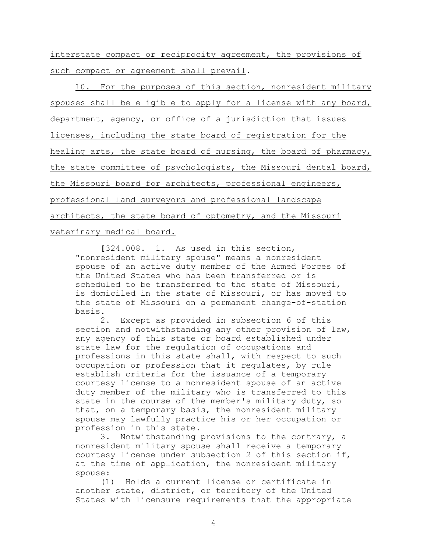interstate compact or reciprocity agreement, the provisions of such compact or agreement shall prevail.

10. For the purposes of this section, nonresident military spouses shall be eligible to apply for a license with any board, department, agency, or office of a jurisdiction that issues licenses, including the state board of registration for the healing arts, the state board of nursing, the board of pharmacy, the state committee of psychologists, the Missouri dental board, the Missouri board for architects, professional engineers, professional land surveyors and professional landscape architects, the state board of optometry, and the Missouri veterinary medical board.

**[**324.008. 1. As used in this section, "nonresident military spouse" means a nonresident spouse of an active duty member of the Armed Forces of the United States who has been transferred or is scheduled to be transferred to the state of Missouri, is domiciled in the state of Missouri, or has moved to the state of Missouri on a permanent change-of-station basis.

2. Except as provided in subsection 6 of this section and notwithstanding any other provision of law, any agency of this state or board established under state law for the regulation of occupations and professions in this state shall, with respect to such occupation or profession that it regulates, by rule establish criteria for the issuance of a temporary courtesy license to a nonresident spouse of an active duty member of the military who is transferred to this state in the course of the member's military duty, so that, on a temporary basis, the nonresident military spouse may lawfully practice his or her occupation or profession in this state.

3. Notwithstanding provisions to the contrary, a nonresident military spouse shall receive a temporary courtesy license under subsection 2 of this section if, at the time of application, the nonresident military spouse:

(1) Holds a current license or certificate in another state, district, or territory of the United States with licensure requirements that the appropriate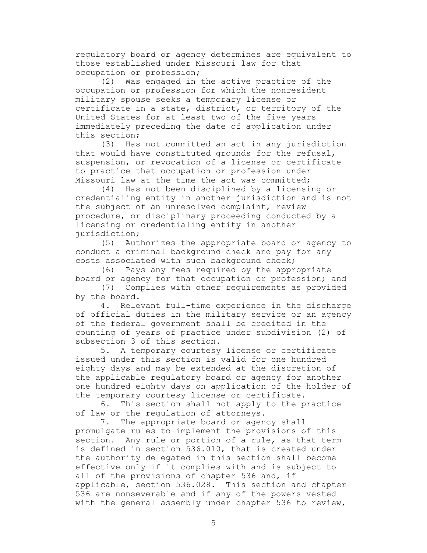regulatory board or agency determines are equivalent to those established under Missouri law for that occupation or profession;

(2) Was engaged in the active practice of the occupation or profession for which the nonresident military spouse seeks a temporary license or certificate in a state, district, or territory of the United States for at least two of the five years immediately preceding the date of application under this section;

(3) Has not committed an act in any jurisdiction that would have constituted grounds for the refusal, suspension, or revocation of a license or certificate to practice that occupation or profession under Missouri law at the time the act was committed;

(4) Has not been disciplined by a licensing or credentialing entity in another jurisdiction and is not the subject of an unresolved complaint, review procedure, or disciplinary proceeding conducted by a licensing or credentialing entity in another jurisdiction;

(5) Authorizes the appropriate board or agency to conduct a criminal background check and pay for any costs associated with such background check;

(6) Pays any fees required by the appropriate board or agency for that occupation or profession; and

(7) Complies with other requirements as provided by the board.

4. Relevant full-time experience in the discharge of official duties in the military service or an agency of the federal government shall be credited in the counting of years of practice under subdivision (2) of subsection 3 of this section.

5. A temporary courtesy license or certificate issued under this section is valid for one hundred eighty days and may be extended at the discretion of the applicable regulatory board or agency for another one hundred eighty days on application of the holder of the temporary courtesy license or certificate.

6. This section shall not apply to the practice of law or the regulation of attorneys.

7. The appropriate board or agency shall promulgate rules to implement the provisions of this section. Any rule or portion of a rule, as that term is defined in section 536.010, that is created under the authority delegated in this section shall become effective only if it complies with and is subject to all of the provisions of chapter 536 and, if applicable, section 536.028. This section and chapter 536 are nonseverable and if any of the powers vested with the general assembly under chapter 536 to review,